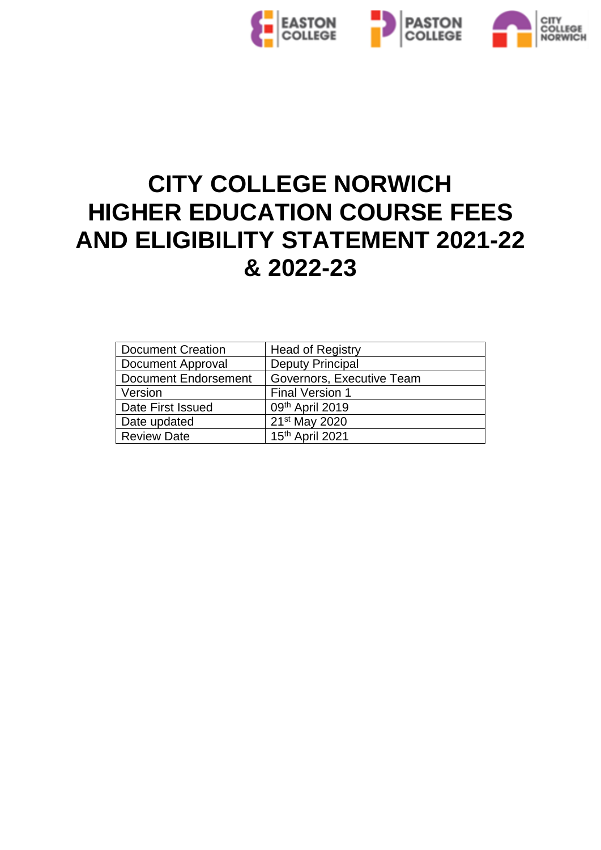

# **CITY COLLEGE NORWICH HIGHER EDUCATION COURSE FEES AND ELIGIBILITY STATEMENT 2021-22 & 2022-23**

| <b>Document Creation</b> | <b>Head of Registry</b>   |
|--------------------------|---------------------------|
| <b>Document Approval</b> | <b>Deputy Principal</b>   |
| Document Endorsement     | Governors, Executive Team |
| Version                  | <b>Final Version 1</b>    |
| Date First Issued        | 09th April 2019           |
| Date updated             | 21 <sup>st</sup> May 2020 |
| <b>Review Date</b>       | $15th$ April 2021         |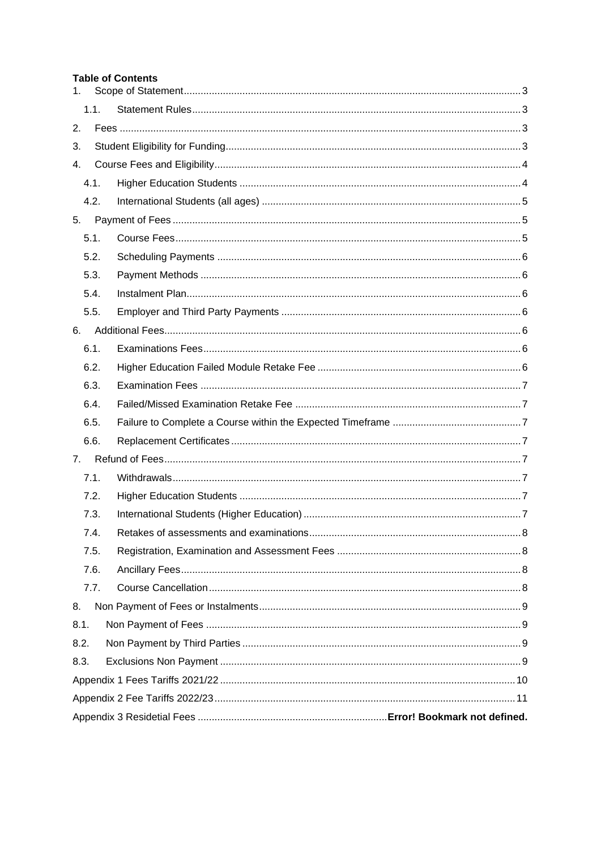#### **Table of Contents**

| 1.   |  |
|------|--|
| 1.1. |  |
| 2.   |  |
| 3.   |  |
| 4.   |  |
| 4.1. |  |
| 4.2. |  |
| 5.   |  |
| 5.1. |  |
| 5.2. |  |
| 5.3. |  |
| 5.4. |  |
| 5.5. |  |
| 6.   |  |
| 6.1. |  |
| 6.2. |  |
| 6.3. |  |
| 6.4. |  |
| 6.5. |  |
| 6.6. |  |
| 7.   |  |
| 7.1. |  |
| 7.2. |  |
| 7.3. |  |
| 7.4. |  |
| 7.5. |  |
| 7.6. |  |
| 7.7. |  |
| 8.   |  |
| 8.1. |  |
| 8.2. |  |
| 8.3. |  |
|      |  |
|      |  |
|      |  |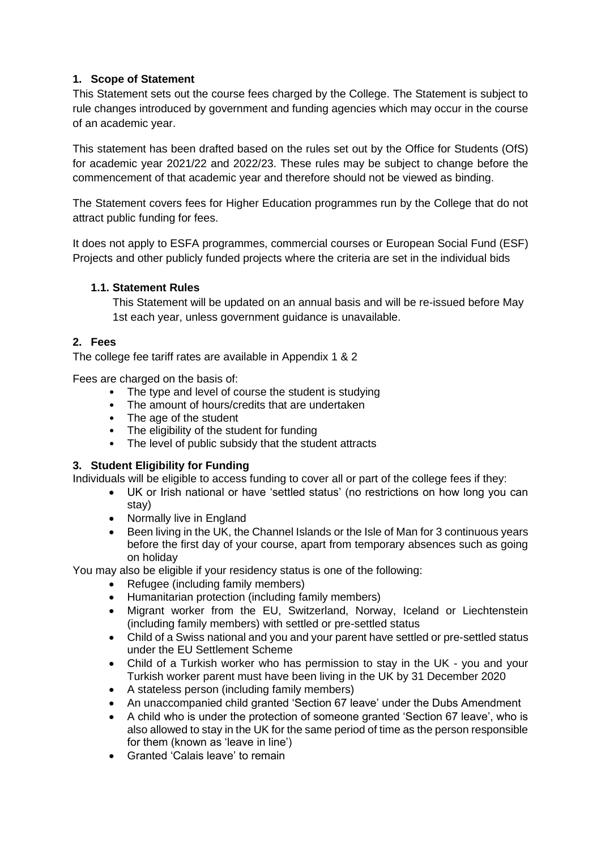#### <span id="page-2-0"></span>**1. Scope of Statement**

This Statement sets out the course fees charged by the College. The Statement is subject to rule changes introduced by government and funding agencies which may occur in the course of an academic year.

This statement has been drafted based on the rules set out by the Office for Students (OfS) for academic year 2021/22 and 2022/23. These rules may be subject to change before the commencement of that academic year and therefore should not be viewed as binding.

The Statement covers fees for Higher Education programmes run by the College that do not attract public funding for fees.

It does not apply to ESFA programmes, commercial courses or European Social Fund (ESF) Projects and other publicly funded projects where the criteria are set in the individual bids

#### <span id="page-2-1"></span>**1.1. Statement Rules**

This Statement will be updated on an annual basis and will be re-issued before May 1st each year, unless government guidance is unavailable.

#### <span id="page-2-2"></span>**2. Fees**

The college fee tariff rates are available in Appendix 1 & 2

Fees are charged on the basis of:

- The type and level of course the student is studying
- The amount of hours/credits that are undertaken
- The age of the student
- The eligibility of the student for funding
- The level of public subsidy that the student attracts

#### <span id="page-2-3"></span>**3. Student Eligibility for Funding**

Individuals will be eligible to access funding to cover all or part of the college fees if they:

- UK or Irish national or have 'settled status' (no restrictions on how long you can stay)
- Normally live in England
- Been living in the UK, the Channel Islands or the Isle of Man for 3 continuous years before the first day of your course, apart from temporary absences such as going on holiday

You may also be eligible if your residency status is one of the following:

- Refugee (including family members)
- Humanitarian protection (including family members)
- Migrant worker from the EU, Switzerland, Norway, Iceland or Liechtenstein (including family members) with settled or pre-settled status
- Child of a Swiss national and you and your parent have settled or pre-settled status under the EU Settlement Scheme
- Child of a Turkish worker who has permission to stay in the UK you and your Turkish worker parent must have been living in the UK by 31 December 2020
- A stateless person (including family members)
- An unaccompanied child granted 'Section 67 leave' under the Dubs Amendment
- A child who is under the protection of someone granted 'Section 67 leave', who is also allowed to stay in the UK for the same period of time as the person responsible for them (known as 'leave in line')
- Granted 'Calais leave' to remain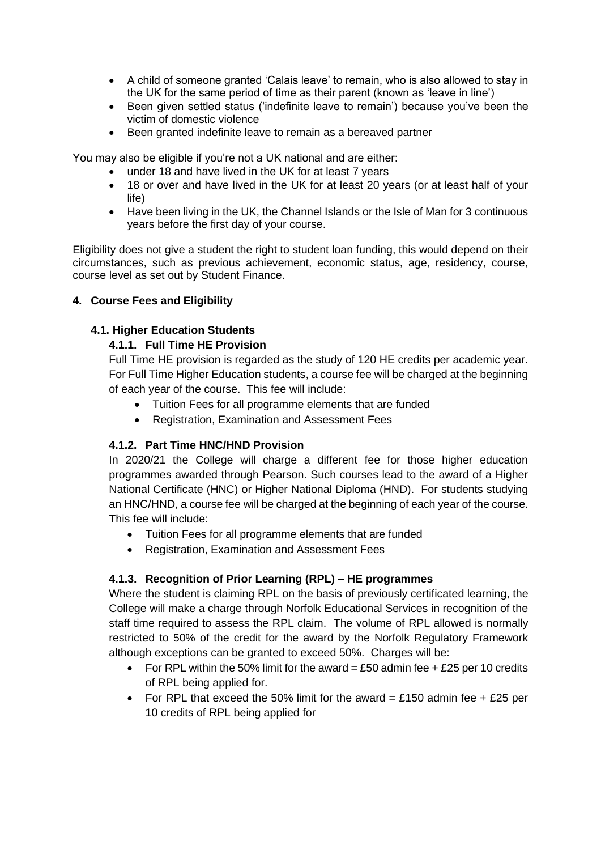- A child of someone granted 'Calais leave' to remain, who is also allowed to stay in the UK for the same period of time as their parent (known as 'leave in line')
- Been given settled status ('indefinite leave to remain') because you've been the victim of domestic violence
- Been granted indefinite leave to remain as a bereaved partner

You may also be eligible if you're not a UK national and are either:

- under 18 and have lived in the UK for at least 7 years
- 18 or over and have lived in the UK for at least 20 years (or at least half of your life)
- Have been living in the UK, the Channel Islands or the Isle of Man for 3 continuous years before the first day of your course.

Eligibility does not give a student the right to student loan funding, this would depend on their circumstances, such as previous achievement, economic status, age, residency, course, course level as set out by Student Finance.

#### <span id="page-3-0"></span>**4. Course Fees and Eligibility**

#### <span id="page-3-1"></span>**4.1. Higher Education Students**

#### **4.1.1. Full Time HE Provision**

Full Time HE provision is regarded as the study of 120 HE credits per academic year. For Full Time Higher Education students, a course fee will be charged at the beginning of each year of the course. This fee will include:

- Tuition Fees for all programme elements that are funded
- Registration, Examination and Assessment Fees

#### **4.1.2. Part Time HNC/HND Provision**

In 2020/21 the College will charge a different fee for those higher education programmes awarded through Pearson. Such courses lead to the award of a Higher National Certificate (HNC) or Higher National Diploma (HND). For students studying an HNC/HND, a course fee will be charged at the beginning of each year of the course. This fee will include:

- Tuition Fees for all programme elements that are funded
- Registration, Examination and Assessment Fees

## **4.1.3. Recognition of Prior Learning (RPL) – HE programmes**

Where the student is claiming RPL on the basis of previously certificated learning, the College will make a charge through Norfolk Educational Services in recognition of the staff time required to assess the RPL claim. The volume of RPL allowed is normally restricted to 50% of the credit for the award by the Norfolk Regulatory Framework although exceptions can be granted to exceed 50%. Charges will be:

- For RPL within the 50% limit for the award = £50 admin fee  $+$  £25 per 10 credits of RPL being applied for.
- For RPL that exceed the 50% limit for the award = £150 admin fee + £25 per 10 credits of RPL being applied for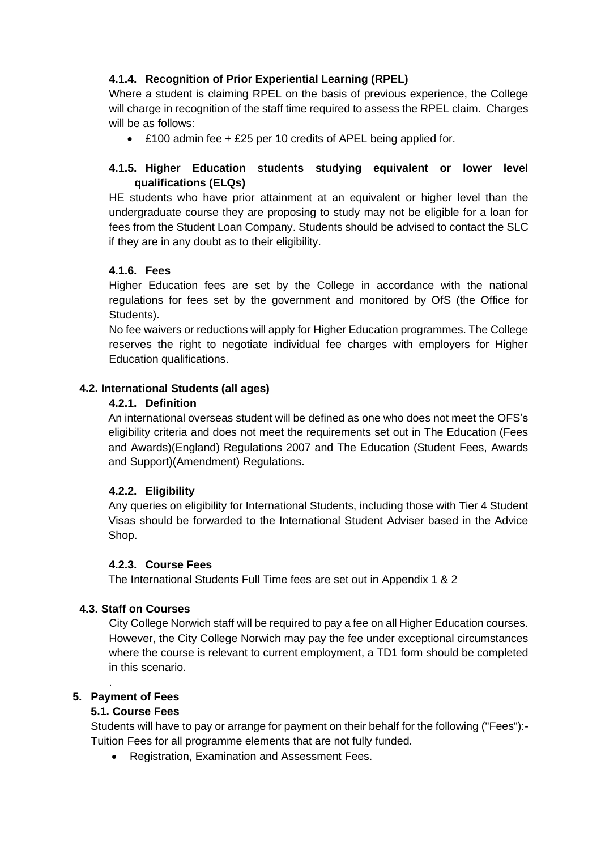## **4.1.4. Recognition of Prior Experiential Learning (RPEL)**

Where a student is claiming RPEL on the basis of previous experience, the College will charge in recognition of the staff time required to assess the RPEL claim. Charges will be as follows:

• £100 admin fee + £25 per 10 credits of APEL being applied for.

## **4.1.5. Higher Education students studying equivalent or lower level qualifications (ELQs)**

HE students who have prior attainment at an equivalent or higher level than the undergraduate course they are proposing to study may not be eligible for a loan for fees from the Student Loan Company. Students should be advised to contact the SLC if they are in any doubt as to their eligibility.

#### **4.1.6. Fees**

Higher Education fees are set by the College in accordance with the national regulations for fees set by the government and monitored by OfS (the Office for Students).

No fee waivers or reductions will apply for Higher Education programmes. The College reserves the right to negotiate individual fee charges with employers for Higher Education qualifications.

#### <span id="page-4-0"></span>**4.2. International Students (all ages)**

#### **4.2.1. Definition**

An international overseas student will be defined as one who does not meet the OFS's eligibility criteria and does not meet the requirements set out in The Education (Fees and Awards)(England) Regulations 2007 and The Education (Student Fees, Awards and Support)(Amendment) Regulations.

#### **4.2.2. Eligibility**

Any queries on eligibility for International Students, including those with Tier 4 Student Visas should be forwarded to the International Student Adviser based in the Advice Shop.

#### **4.2.3. Course Fees**

The International Students Full Time fees are set out in Appendix 1 & 2

#### **4.3. Staff on Courses**

City College Norwich staff will be required to pay a fee on all Higher Education courses. However, the City College Norwich may pay the fee under exceptional circumstances where the course is relevant to current employment, a TD1 form should be completed in this scenario.

#### <span id="page-4-2"></span><span id="page-4-1"></span>**5. Payment of Fees**

.

#### **5.1. Course Fees**

Students will have to pay or arrange for payment on their behalf for the following ("Fees"):- Tuition Fees for all programme elements that are not fully funded.

• Registration, Examination and Assessment Fees.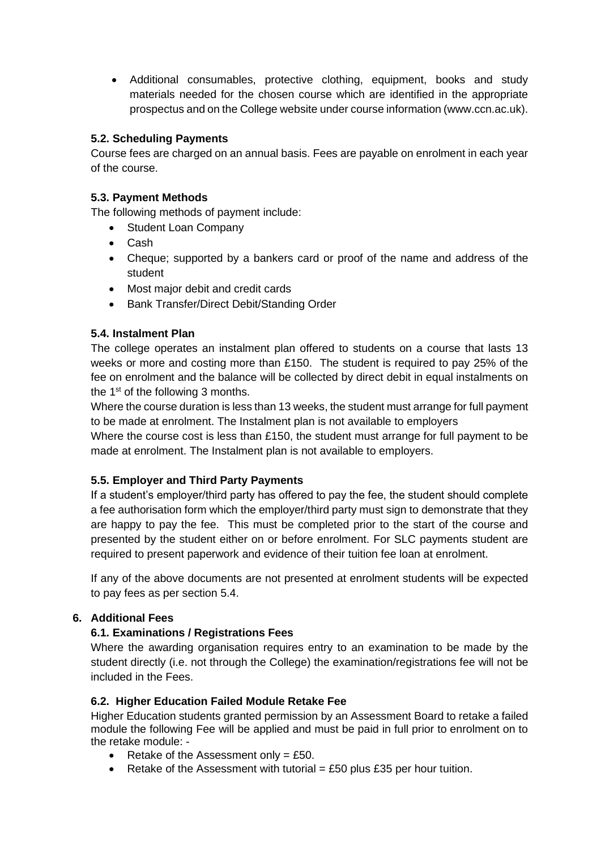• Additional consumables, protective clothing, equipment, books and study materials needed for the chosen course which are identified in the appropriate prospectus and on the College website under course information (www.ccn.ac.uk).

#### <span id="page-5-0"></span>**5.2. Scheduling Payments**

Course fees are charged on an annual basis. Fees are payable on enrolment in each year of the course.

#### <span id="page-5-1"></span>**5.3. Payment Methods**

The following methods of payment include:

- Student Loan Company
- Cash
- Cheque; supported by a bankers card or proof of the name and address of the student
- Most major debit and credit cards
- Bank Transfer/Direct Debit/Standing Order

#### <span id="page-5-2"></span>**5.4. Instalment Plan**

The college operates an instalment plan offered to students on a course that lasts 13 weeks or more and costing more than £150. The student is required to pay 25% of the fee on enrolment and the balance will be collected by direct debit in equal instalments on the 1<sup>st</sup> of the following 3 months.

Where the course duration is less than 13 weeks, the student must arrange for full payment to be made at enrolment. The Instalment plan is not available to employers

Where the course cost is less than £150, the student must arrange for full payment to be made at enrolment. The Instalment plan is not available to employers.

#### <span id="page-5-3"></span>**5.5. Employer and Third Party Payments**

If a student's employer/third party has offered to pay the fee, the student should complete a fee authorisation form which the employer/third party must sign to demonstrate that they are happy to pay the fee. This must be completed prior to the start of the course and presented by the student either on or before enrolment. For SLC payments student are required to present paperwork and evidence of their tuition fee loan at enrolment.

If any of the above documents are not presented at enrolment students will be expected to pay fees as per section 5.4.

#### <span id="page-5-5"></span><span id="page-5-4"></span>**6. Additional Fees**

#### **6.1. Examinations / Registrations Fees**

Where the awarding organisation requires entry to an examination to be made by the student directly (i.e. not through the College) the examination/registrations fee will not be included in the Fees.

#### <span id="page-5-6"></span>**6.2. Higher Education Failed Module Retake Fee**

Higher Education students granted permission by an Assessment Board to retake a failed module the following Fee will be applied and must be paid in full prior to enrolment on to the retake module: -

- Retake of the Assessment only =  $£50$ .
- Retake of the Assessment with tutorial  $=$  £50 plus £35 per hour tuition.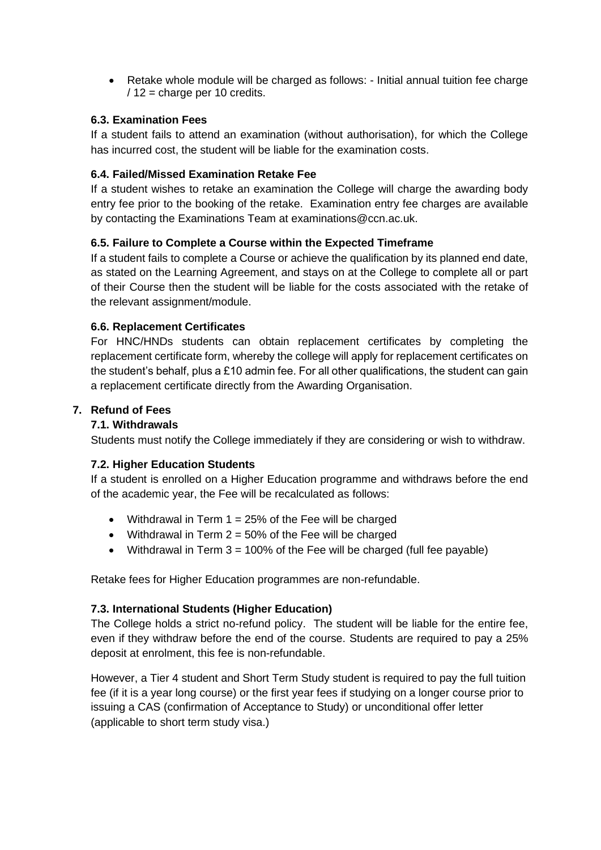• Retake whole module will be charged as follows: - Initial annual tuition fee charge / 12 = charge per 10 credits.

#### <span id="page-6-0"></span>**6.3. Examination Fees**

If a student fails to attend an examination (without authorisation), for which the College has incurred cost, the student will be liable for the examination costs.

#### <span id="page-6-1"></span>**6.4. Failed/Missed Examination Retake Fee**

If a student wishes to retake an examination the College will charge the awarding body entry fee prior to the booking of the retake. Examination entry fee charges are available by contacting the Examinations Team at examinations@ccn.ac.uk.

#### <span id="page-6-2"></span>**6.5. Failure to Complete a Course within the Expected Timeframe**

If a student fails to complete a Course or achieve the qualification by its planned end date, as stated on the Learning Agreement, and stays on at the College to complete all or part of their Course then the student will be liable for the costs associated with the retake of the relevant assignment/module.

#### <span id="page-6-3"></span>**6.6. Replacement Certificates**

For HNC/HNDs students can obtain replacement certificates by completing the replacement certificate form, whereby the college will apply for replacement certificates on the student's behalf, plus a £10 admin fee. For all other qualifications, the student can gain a replacement certificate directly from the Awarding Organisation.

#### <span id="page-6-5"></span><span id="page-6-4"></span>**7. Refund of Fees**

#### **7.1. Withdrawals**

Students must notify the College immediately if they are considering or wish to withdraw.

#### <span id="page-6-6"></span>**7.2. Higher Education Students**

If a student is enrolled on a Higher Education programme and withdraws before the end of the academic year, the Fee will be recalculated as follows:

- Withdrawal in Term  $1 = 25\%$  of the Fee will be charged
- Withdrawal in Term  $2 = 50\%$  of the Fee will be charged
- Withdrawal in Term  $3 = 100\%$  of the Fee will be charged (full fee payable)

Retake fees for Higher Education programmes are non-refundable.

#### <span id="page-6-7"></span>**7.3. International Students (Higher Education)**

The College holds a strict no-refund policy. The student will be liable for the entire fee, even if they withdraw before the end of the course. Students are required to pay a 25% deposit at enrolment, this fee is non-refundable.

However, a Tier 4 student and Short Term Study student is required to pay the full tuition fee (if it is a year long course) or the first year fees if studying on a longer course prior to issuing a CAS (confirmation of Acceptance to Study) or unconditional offer letter (applicable to short term study visa.)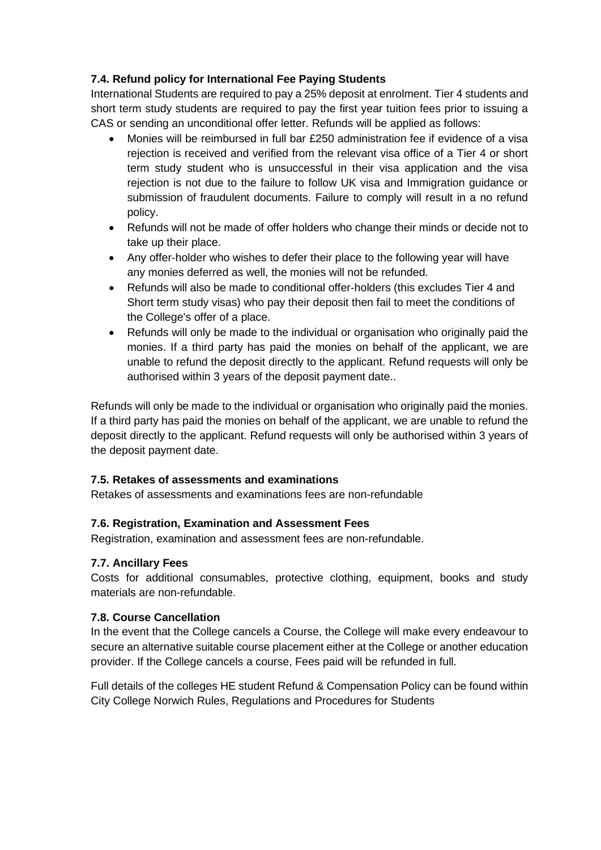#### **7.4. Refund policy for International Fee Paying Students**

International Students are required to pay a 25% deposit at enrolment. Tier 4 students and short term study students are required to pay the first year tuition fees prior to issuing a CAS or sending an unconditional offer letter. Refunds will be applied as follows:

- Monies will be reimbursed in full bar £250 administration fee if evidence of a visa rejection is received and verified from the relevant visa office of a Tier 4 or short term study student who is unsuccessful in their visa application and the visa rejection is not due to the failure to follow UK visa and Immigration guidance or submission of fraudulent documents. Failure to comply will result in a no refund policy.
- Refunds will not be made of offer holders who change their minds or decide not to take up their place.
- Any offer-holder who wishes to defer their place to the following year will have any monies deferred as well, the monies will not be refunded.
- Refunds will also be made to conditional offer-holders (this excludes Tier 4 and Short term study visas) who pay their deposit then fail to meet the conditions of the College's offer of a place.
- Refunds will only be made to the individual or organisation who originally paid the monies. If a third party has paid the monies on behalf of the applicant, we are unable to refund the deposit directly to the applicant. Refund requests will only be authorised within 3 years of the deposit payment date..

Refunds will only be made to the individual or organisation who originally paid the monies. If a third party has paid the monies on behalf of the applicant, we are unable to refund the deposit directly to the applicant. Refund requests will only be authorised within 3 years of the deposit payment date.

#### <span id="page-7-0"></span>**7.5. Retakes of assessments and examinations**

Retakes of assessments and examinations fees are non-refundable

#### <span id="page-7-1"></span>**7.6. Registration, Examination and Assessment Fees**

Registration, examination and assessment fees are non-refundable.

#### <span id="page-7-2"></span>**7.7. Ancillary Fees**

Costs for additional consumables, protective clothing, equipment, books and study materials are non-refundable.

#### <span id="page-7-3"></span>**7.8. Course Cancellation**

In the event that the College cancels a Course, the College will make every endeavour to secure an alternative suitable course placement either at the College or another education provider. If the College cancels a course, Fees paid will be refunded in full.

Full details of the colleges HE student Refund & Compensation Policy can be found within City College Norwich Rules, Regulations and Procedures for Students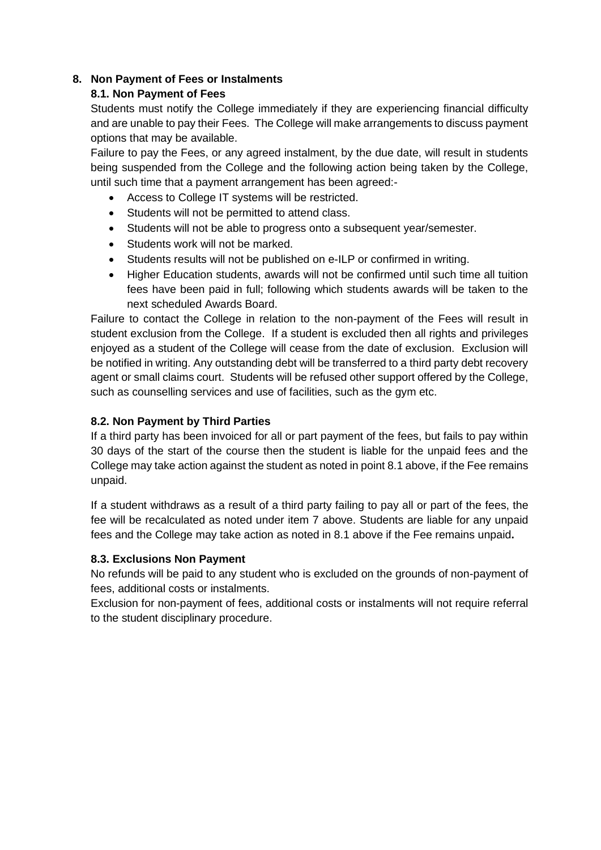## <span id="page-8-1"></span><span id="page-8-0"></span>**8. Non Payment of Fees or Instalments**

## **8.1. Non Payment of Fees**

Students must notify the College immediately if they are experiencing financial difficulty and are unable to pay their Fees. The College will make arrangements to discuss payment options that may be available.

Failure to pay the Fees, or any agreed instalment, by the due date, will result in students being suspended from the College and the following action being taken by the College, until such time that a payment arrangement has been agreed:-

- Access to College IT systems will be restricted.
- Students will not be permitted to attend class.
- Students will not be able to progress onto a subsequent year/semester.
- Students work will not be marked.
- Students results will not be published on e-ILP or confirmed in writing.
- Higher Education students, awards will not be confirmed until such time all tuition fees have been paid in full; following which students awards will be taken to the next scheduled Awards Board.

Failure to contact the College in relation to the non-payment of the Fees will result in student exclusion from the College. If a student is excluded then all rights and privileges enjoyed as a student of the College will cease from the date of exclusion. Exclusion will be notified in writing. Any outstanding debt will be transferred to a third party debt recovery agent or small claims court. Students will be refused other support offered by the College, such as counselling services and use of facilities, such as the gym etc.

## <span id="page-8-2"></span>**8.2. Non Payment by Third Parties**

If a third party has been invoiced for all or part payment of the fees, but fails to pay within 30 days of the start of the course then the student is liable for the unpaid fees and the College may take action against the student as noted in point 8.1 above, if the Fee remains unpaid.

If a student withdraws as a result of a third party failing to pay all or part of the fees, the fee will be recalculated as noted under item 7 above. Students are liable for any unpaid fees and the College may take action as noted in 8.1 above if the Fee remains unpaid**.**

#### <span id="page-8-3"></span>**8.3. Exclusions Non Payment**

No refunds will be paid to any student who is excluded on the grounds of non-payment of fees, additional costs or instalments.

Exclusion for non-payment of fees, additional costs or instalments will not require referral to the student disciplinary procedure.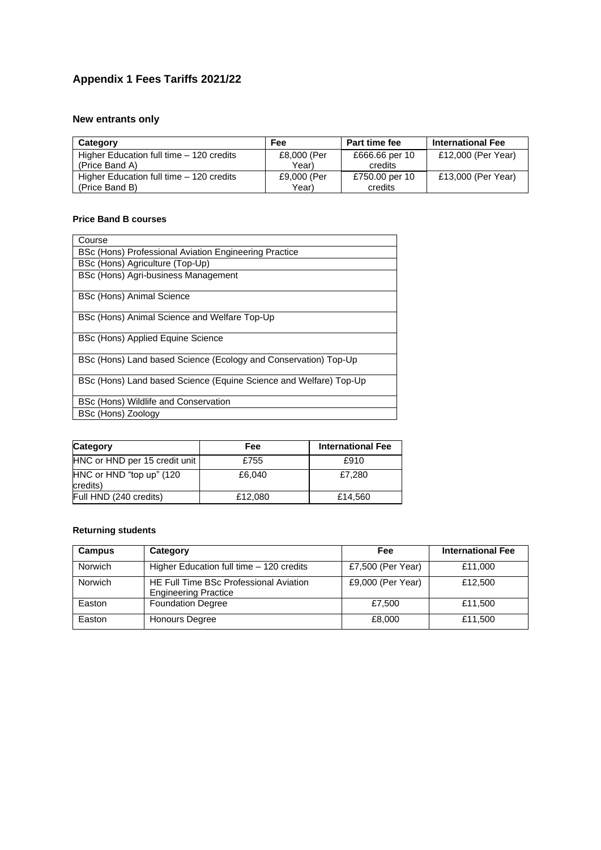## <span id="page-9-0"></span>**Appendix 1 Fees Tariffs 2021/22**

## **New entrants only**

| Category                                 | Fee         | Part time fee  | <b>International Fee</b> |
|------------------------------------------|-------------|----------------|--------------------------|
| Higher Education full time - 120 credits | £8,000 (Per | £666.66 per 10 | £12,000 (Per Year)       |
| (Price Band A)                           | Year)       | credits        |                          |
| Higher Education full time - 120 credits | £9,000 (Per | £750.00 per 10 | £13,000 (Per Year)       |
| (Price Band B)                           | Year)       | credits        |                          |

#### **Price Band B courses**

| Course                                                            |
|-------------------------------------------------------------------|
| BSc (Hons) Professional Aviation Engineering Practice             |
| BSc (Hons) Agriculture (Top-Up)                                   |
| BSc (Hons) Agri-business Management                               |
| <b>BSc (Hons) Animal Science</b>                                  |
| BSc (Hons) Animal Science and Welfare Top-Up                      |
| BSc (Hons) Applied Equine Science                                 |
| BSc (Hons) Land based Science (Ecology and Conservation) Top-Up   |
| BSc (Hons) Land based Science (Equine Science and Welfare) Top-Up |
| BSc (Hons) Wildlife and Conservation                              |
| BSc (Hons) Zoology                                                |

| Category                             | Fee     | <b>International Fee</b> |
|--------------------------------------|---------|--------------------------|
| HNC or HND per 15 credit unit        | £755    | £910                     |
| HNC or HND "top up" (120<br>credits) | £6.040  | £7.280                   |
| Full HND (240 credits)               | £12,080 | £14.560                  |

#### **Returning students**

| <b>Campus</b>  | Category                                                              | Fee               | <b>International Fee</b> |
|----------------|-----------------------------------------------------------------------|-------------------|--------------------------|
| <b>Norwich</b> | Higher Education full time - 120 credits                              | £7,500 (Per Year) | £11,000                  |
| <b>Norwich</b> | HE Full Time BSc Professional Aviation<br><b>Engineering Practice</b> | £9,000 (Per Year) | £12,500                  |
| Easton         | <b>Foundation Degree</b>                                              | £7.500            | £11,500                  |
| Easton         | <b>Honours Degree</b>                                                 | £8,000            | £11,500                  |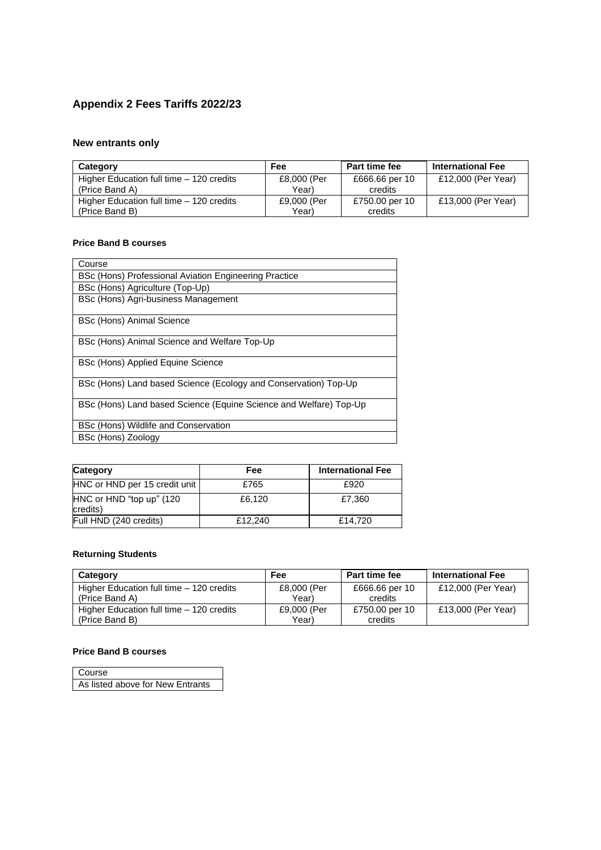## <span id="page-10-0"></span>**Appendix 2 Fees Tariffs 2022/23**

## **New entrants only**

| Category                                 | Fee         | Part time fee  | <b>International Fee</b> |
|------------------------------------------|-------------|----------------|--------------------------|
| Higher Education full time - 120 credits | £8,000 (Per | £666.66 per 10 | £12,000 (Per Year)       |
| (Price Band A)                           | Year)       | credits        |                          |
| Higher Education full time - 120 credits | £9,000 (Per | £750.00 per 10 | £13,000 (Per Year)       |
| (Price Band B)                           | Year)       | credits        |                          |

#### **Price Band B courses**

| Course                                                            |
|-------------------------------------------------------------------|
| BSc (Hons) Professional Aviation Engineering Practice             |
| BSc (Hons) Agriculture (Top-Up)                                   |
| BSc (Hons) Agri-business Management                               |
| <b>BSc (Hons) Animal Science</b>                                  |
| BSc (Hons) Animal Science and Welfare Top-Up                      |
| BSc (Hons) Applied Equine Science                                 |
| BSc (Hons) Land based Science (Ecology and Conservation) Top-Up   |
| BSc (Hons) Land based Science (Equine Science and Welfare) Top-Up |
| BSc (Hons) Wildlife and Conservation                              |
| BSc (Hons) Zoology                                                |

| Category                             | Fee     | <b>International Fee</b> |
|--------------------------------------|---------|--------------------------|
| HNC or HND per 15 credit unit        | £765    | £920                     |
| HNC or HND "top up" (120<br>credits) | £6.120  | £7.360                   |
| Full HND (240 credits)               | £12,240 | £14.720                  |

#### **Returning Students**

| Category                                 | Fee         | <b>Part time fee</b> | <b>International Fee</b> |
|------------------------------------------|-------------|----------------------|--------------------------|
| Higher Education full time - 120 credits | £8,000 (Per | £666.66 per 10       | £12,000 (Per Year)       |
| (Price Band A)                           | Year)       | credits              |                          |
| Higher Education full time - 120 credits | £9,000 (Per | £750.00 per 10       | £13,000 (Per Year)       |
| (Price Band B)                           | Year)       | credits              |                          |

#### **Price Band B courses**

| Course                           |  |
|----------------------------------|--|
| As listed above for New Entrants |  |